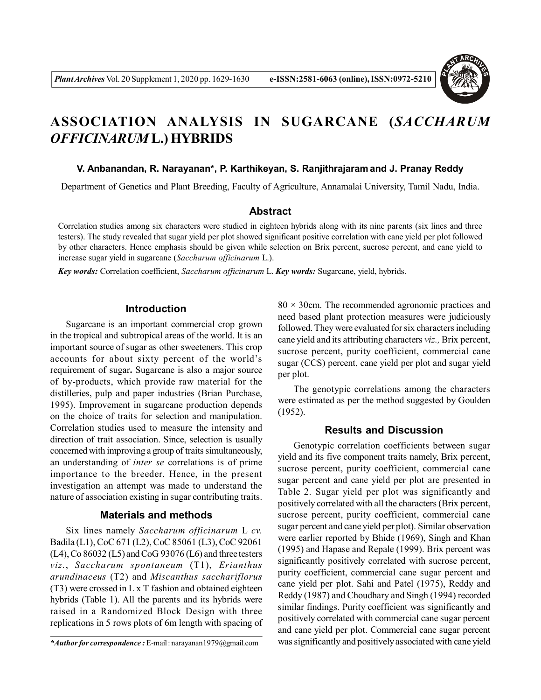

# **ASSOCIATION ANALYSIS IN SUGARCANE (***SACCHARUM OFFICINARUM* **L.) HYBRIDS**

#### **V. Anbanandan, R. Narayanan\*, P. Karthikeyan, S. Ranjithrajaram and J. Pranay Reddy**

Department of Genetics and Plant Breeding, Faculty of Agriculture, Annamalai University, Tamil Nadu, India.

### **Abstract**

Correlation studies among six characters were studied in eighteen hybrids along with its nine parents (six lines and three testers). The study revealed that sugar yield per plot showed significant positive correlation with cane yield per plot followed by other characters. Hence emphasis should be given while selection on Brix percent, sucrose percent, and cane yield to increase sugar yield in sugarcane (*Saccharum officinarum* L.).

*Key words:* Correlation coefficient, *Saccharum officinarum* L. *Key words:* Sugarcane, yield, hybrids.

### **Introduction**

Sugarcane is an important commercial crop grown in the tropical and subtropical areas of the world. It is an important source of sugar as other sweeteners. This crop accounts for about sixty percent of the world's requirement of sugar**.** Sugarcane is also a major source of by-products, which provide raw material for the distilleries, pulp and paper industries (Brian Purchase, 1995). Improvement in sugarcane production depends on the choice of traits for selection and manipulation. Correlation studies used to measure the intensity and direction of trait association. Since, selection is usually concerned with improving a group of traits simultaneously, an understanding of *inter se* correlations is of prime importance to the breeder. Hence, in the present investigation an attempt was made to understand the nature of association existing in sugar contributing traits.

#### **Materials and methods**

Six lines namely *Saccharum officinarum* L *cv.* Badila (L1), CoC 671 (L2), CoC 85061 (L3), CoC 92061 (L4), Co 86032 (L5) and CoG 93076 (L6) and three testers *viz.*, *Saccharum spontaneum* (T1), *Erianthus arundinaceus* (T2) and *Miscanthus sacchariflorus* (T3) were crossed in L x T fashion and obtained eighteen hybrids (Table 1). All the parents and its hybrids were raised in a Randomized Block Design with three replications in 5 rows plots of 6m length with spacing of  $80 \times 30$ cm. The recommended agronomic practices and need based plant protection measures were judiciously followed. They were evaluated for six characters including cane yield and its attributing characters *viz.,* Brix percent, sucrose percent, purity coefficient, commercial cane sugar (CCS) percent, cane yield per plot and sugar yield per plot.

The genotypic correlations among the characters were estimated as per the method suggested by Goulden (1952).

## **Results and Discussion**

Genotypic correlation coefficients between sugar yield and its five component traits namely, Brix percent, sucrose percent, purity coefficient, commercial cane sugar percent and cane yield per plot are presented in Table 2. Sugar yield per plot was significantly and positively correlated with all the characters (Brix percent, sucrose percent, purity coefficient, commercial cane sugar percent and cane yield per plot). Similar observation were earlier reported by Bhide (1969), Singh and Khan (1995) and Hapase and Repale (1999). Brix percent was significantly positively correlated with sucrose percent, purity coefficient, commercial cane sugar percent and cane yield per plot. Sahi and Patel (1975), Reddy and Reddy (1987) and Choudhary and Singh (1994) recorded similar findings. Purity coefficient was significantly and positively correlated with commercial cane sugar percent and cane yield per plot. Commercial cane sugar percent was significantly and positively associated with cane yield

*<sup>\*</sup>Author for correspondence :* E-mail : narayanan1979@gmail.com